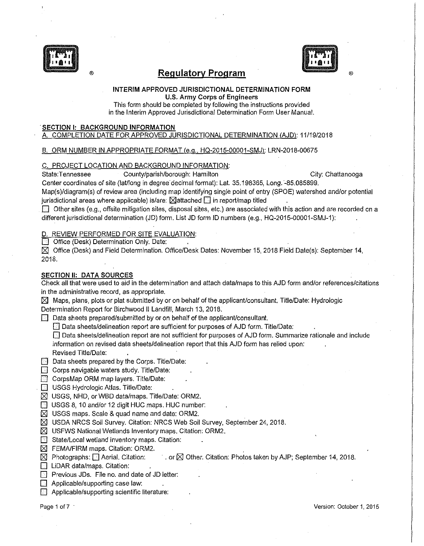



®

# ® **Regulatory Program**

#### INTERIM APPROVED JURISDICTIONAL DETERMINATION FORM U.S. Army Corps of Engineers

This form should be completed by following the instructions provided in the Interim Approved Jurisdictional Determination Form User Manual.

#### SECTION I: BACKGROUND INFORMATION

# A. COMPLETION DATE FOR APPROVED JURISDICTIONAL DETERMINATION (AJD): 11/19/2018

#### B. ORM NUMBER IN APPROPRIATE FORMAT (e.g., HQ-2015-00001-SMJ); LRN-2018-00675

### C. PROJECT LOCATION AND BACKGROUND INFORMATION:

State:Tennessee County/parish/borough: Hamilton County City: Chattanooga

Center coordinates of site (lat/long in degree· decimal format): Lat. 35.198365, Long. -85.085899.

Map(s)/diagram(s) of review area (including map identifying single point of entry (SPOE) watershed and/or potential jurisdictional areas where applicable) is/are:  $\boxtimes$  attached  $\Box$  in report/map titled

 $\boxdot$  Other sites (e.g., offsite mitigation sites, disposal sites, etc.) are associated with this action and are recorded on a different jurisdictional determination (JD) form. List JD form ID numbers (e.g., HQ-2015-00001-SMJ-1):

### REVIEW PERFORMED FOR SITE EVALUATION:

**D** Office (Desk) Determination Only. Date:

IZ] Office (Desk) and Field Determination. Office/Desk Dates: November 15, 2018 Field Date(s): September 14, 2018.

### SECTION II: DATA SOURCES

Check all that were used to aid in the determination and attach data/maps to this AJD form and/or references/citations in the administrative record, as appropriate.

 $\boxtimes$  Maps, plans, plots or plat submitted by or on behalf of the applicant/consultant. Title/Date: Hydrologic Determination Report for Birchwood II Landfill, March 13, 2018.

 $\boxed{\color{blue}{\odot}}$  Data sheets prepared/submitted by or on behalf of the applicant/consultant.

 $\Box$  Data sheets/delineation report are sufficient for purposes of AJD form. Title/Date:

D Data sheets/delineation report are not sufficient for purposes of AJD form. Summarize rationale and include information on revised data sheets/delineation report that this AJD form has relied upon:

Revised Title/Date:

 $\Box$  Data sheets prepared by the Corps. Title/Date:

- $\Box$  Corps navigable waters study. Title/Date:
- **D** CorpsMap ORM map layers. Title/Date:
- **8 USGS Hydrologic Atlas. Title/Date:**
- $\boxtimes$  USGS, NHD, or WBD data/maps. Title/Date: ORM2.
- **D** USGS 8, 10 and/or 12 digit HUC maps. HUC number:
- $\boxtimes$  USGS maps. Scale & quad name and date: ORM2.
- $\boxtimes$  USDA NRCS Soil Survey. Citation: NRCS Web Soil Survey, September 24, 2018.
- $\boxtimes$  USFWS National Wetlands Inventory maps. Citation: ORM2.
- $\Box$  State/Local wetland inventory maps. Citation:
- $\boxtimes$  FEMA/FIRM maps. Citation: ORM2.
- IZ] Photographs: D Aerial. Citation: ·.or IZl Other. Citation: Photos taken by AJP; September 14, 2018.
- **D** LiDAR data/maps. Citation:
- $\Box$  Previous JDs. File no. and date of JD letter:
- $\Box$  Applicable/supporting case law:
- **E** Applicable/supporting scientific literature: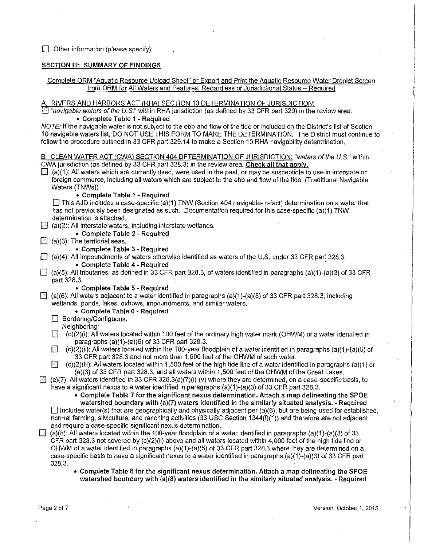$\Box$  Other information (please specify):

### SECTION III: SUMMARY OF FINDINGS

#### Complete ORM "Aquatic Resource Upload Sheet" or Export and Print the Aquatic Resource Water Droplet Screen from ORM for All Waters and Features, Regardless of Jurisdictional Status - Required

#### RIVERS AND HARBORS ACT (RHA) SECTION 10 DETERMINATION OF JURISDICTION:

 $\Box$  "navigable waters of the U.S." within RHA jurisdiction (as defined by 33 CFR part 329) in the review area. • Complete Table 1 - Required

NOTE: If the navigable water is not subject to the ebb and flow of the tide or included on the District's list of Section 10 navigable waters list, DO NOT USE THIS FORM TO MAKE THE DETERMINATION. The District must continue to follow the procedure outlined in 33 CFR part 329.14 to make a Section 10 RHA navigability determination.

|   | B. CLEAN WATER ACT (CWA) SECTION 404 DETERMINATION OF JURISDICTION: "waters of the U.S." within                                                                                                  |
|---|--------------------------------------------------------------------------------------------------------------------------------------------------------------------------------------------------|
|   | CWA jurisdiction (as defined by 33 CFR part 328.3) in the review area. Check all that apply.                                                                                                     |
|   | (a)(1): All waters which are currently used, were used in the past, or may be susceptible to use in interstate or                                                                                |
|   | foreign commerce, including all waters which are subject to the ebb and flow of the tide. (Traditional Navigable                                                                                 |
|   | Waters (TNWs))                                                                                                                                                                                   |
|   | • Complete Table 1 - Required<br>This AJD includes a case-specific (a)(1) TNW (Section 404 navigable-in-fact) determination on a water that                                                      |
|   | has not previously been designated as such. Documentation required for this case-specific (a)(1) TNW                                                                                             |
|   | determination is attached.                                                                                                                                                                       |
|   | $\Box$ (a)(2). All interstate waters, including interstate wetlands.                                                                                                                             |
|   | • Complete Table 2 - Required                                                                                                                                                                    |
|   | $\Box$ (a)(3): The territorial seas.                                                                                                                                                             |
|   | • Complete Table 3 - Required                                                                                                                                                                    |
|   | $\Box$ (a)(4): All impoundments of waters otherwise identified as waters of the U.S. under 33 CFR part 328.3.                                                                                    |
|   | • Complete Table 4 - Required                                                                                                                                                                    |
| 国 | (a)(5): All tributaries, as defined in 33 CFR part 328.3, of waters identified in paragraphs (a)(1)-(a)(3) of 33 CFR                                                                             |
|   | part 328.3.                                                                                                                                                                                      |
|   | • Complete Table 5 - Required                                                                                                                                                                    |
| ⊡ | (a)(6): All waters adjacent to a water identified in paragraphs (a)(1)-(a)(5) of 33 CFR part 328.3, including                                                                                    |
|   | wetlands, ponds, lakes, oxbows, impoundments, and similar waters.                                                                                                                                |
|   | • Complete Table 6 - Required<br><b>B</b> Bordering/Contiguous.                                                                                                                                  |
|   | Neighboring:                                                                                                                                                                                     |
|   | (c)(2)(i): All waters located within 100 feet of the ordinary high water mark (OHWM) of a water identified in<br>IJ                                                                              |
|   | paragraphs (a)(1)-(a)(5) of 33 CFR part 328.3.                                                                                                                                                   |
|   | $\Box$<br>(c)(2)(ii): All waters located within the 100-year floodplain of a water identified in paragraphs (a)(1)-(a)(5) of                                                                     |
|   | 33 CFR part 328.3 and not more than 1,500 feet of the OHWM of such water.                                                                                                                        |
|   | (c)(2)(iii): All waters located within 1,500 feet of the high tide line of a water identified in paragraphs (a)(1) or<br>14                                                                      |
|   | (a)(3) of 33 CFR part 328.3, and all waters within 1,500 feet of the OHWM of the Great Lakes.                                                                                                    |
| ⊡ | (a)(7): All waters identified in 33 CFR 328.3(a)(7)(i)-(v) where they are determined, on a case-specific basis, to                                                                               |
|   | have a significant nexus to a water identified in paragraphs (a)(1)-(a)(3) of 33 CFR part 328.3.                                                                                                 |
|   | • Complete Table 7 for the significant nexus determination. Attach a map delineating the SPOE<br>watershed boundary with (a)(7) waters identified in the similarly situated analysis. - Required |
|   | $\Box$ Includes water(s) that are geographically and physically adjacent per (a)(6), but are being used for established,                                                                         |
|   | normal farming, silviculture, and ranching activities (33 USC Section 1344(f)(1)) and therefore are not adjacent                                                                                 |
|   | and require a case-specific significant nexus determination.                                                                                                                                     |
| ⊡ | (a)(8): All waters located within the 100-year floodplain of a water identified in paragraphs (a)(1)-(a)(3) of 33                                                                                |
|   | CFR part 328.3 not covered by $(c)(2)(ii)$ above and all waters located within 4,000 feet of the high tide line or                                                                               |
|   | OHWM of a water identified in paragraphs (a)(1)-(a)(5) of 33 CFR part 328.3 where they are determined on a                                                                                       |
|   | case-specific basis to have a significant nexus to a water identified in paragraphs (a)(1)-(a)(3) of 33 CFR part                                                                                 |
|   | 328.3.                                                                                                                                                                                           |

• Complete Table 8 for the significant nexus determination. Attach a map delineating the SPOE watershed boundary with (a)(8) waters identified in the similarly situated analysis. - Required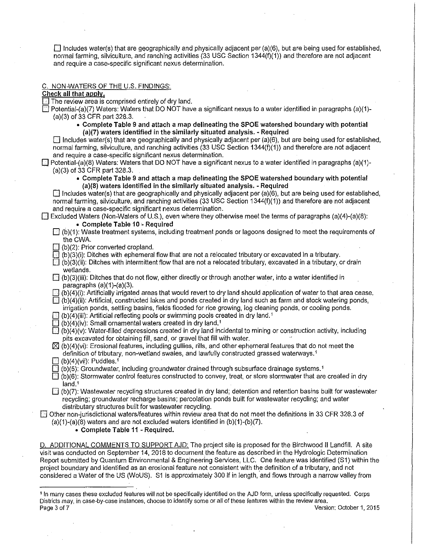$\Box$  Includes water(s) that are geographically and physically adjacent per (a)(6), but are being used for established, normal farming, silviculture, and ranching activities (33 USC Section 1344(1)(1)) and therefore are not adjacent and require a case-specific significant nexus determination.

#### C. NON-WATERS OF THE U.S. FINDINGS:

#### Check all that apply.

 $\Box$  The review area is comprised entirely of dry land.

 $\Box$  Potential-(a)(7) Waters: Waters that DO NOT have a significant nexus to a water identified in paragraphs (a)(1)-(a)(3) of 33 CFR part 328.3.

• Complete Table 9 and attach a map delineating the SPOE watershed boundary with potential (a)(7) waters identified in the similarly situated analysis. - Required

 $\Box$  Includes water(s) that are geographically and physically adjacent per (a)(6), but are being used for established, normal farming, silviculture, and ranching activities (33 USC Section 1344(1)(1)) and therefore are not adjacent and require a case-specific significant nexus determination.

- $\Box$  Potential-(a)(8) Waters: Waters that DO NOT have a significant nexus to a water identified in paragraphs (a)(1)-(a)(3) of 33 CFR part 328.3.
	- Complete Table 9 and attach a map delineating the SPOE watershed boundary with potential (a)(8) waters identified in the similarly situated analysis. - Required

 $\Box$  Includes water(s) that are geographically and physically adjacent per (a)(6), but are being used for established, normal farming, silviculture, and ranching activities (33 USC Section 1344(1)(1)) and therefore are not adjacent and require a case-specific significant nexus determination.

E Excluded Waters (Non-Waters of U.S.), even where they otherwise meet the terms of paragraphs (a)(4)-(a)(8):

- Complete Table 10 Required
- $\Box$  (b)(1): Waste treatment systems, including treatment ponds or lagoons designed to meet the requirements of the CWA.
- $\Box$  (b)(2): Prior converted cropland.

 $\Box$  (b)(3)(i): Ditches with ephemeral flow that are not a relocated tributary or excavated in a tributary.

- $\Box$  (b)(3)(ii): Ditches with intermittent flow that are not a relocated tributary, excavated in a tributary, or drain wetlands. · wetlands.<br>  $\Box$  (b)(3)(iii): Ditches that do not flow, either directly or through another water, into a water identified in
- paragraphs (a)(1)-(a)(3).
- $\Box$  (b)(4)(i): Artificially irrigated areas that would revert to dry land should application of water to that area cease.  $\boxdot$  (b)(4)(ii): Artificial, constructed lakes and ponds created in dry land such as farm and stock watering ponds,

irrigation ponds, settling basins, fields flooded for rice growing, log cleaning ponds, or cooling ponds.

- $\Box$  (b)(4)(iii): Artificial reflecting pools or swimming pools created in dry land.<sup>1</sup>
- $\Box$  (b)(4)(iv): Small ornamental waters created in dry land.<sup>1</sup>
- $\Box$  (b)(4)(v): Water-filled depressions created in dry land incidental to mining or construction activity, including pits excavated for obtaining fill, sand, or gravel that fill with water.
- $\boxtimes$  (b)(4)(vi): Erosional features, including gullies, rills, and other ephemeral features that do not meet the definition of tributary, non-wetland swales, and lawfully constructed grassed waterways. <sup>1</sup>
- $\Box$  (b)(4)(vii): Puddles.<sup>1</sup>
- $\Box$  (b)(5): Groundwater, including groundwater drained through subsurface drainage systems.<sup>1</sup>
- $\Box$  (b)(6): Stormwater control features constructed to convey, treat, or store stormwater that are created in dry land.'
- $\Box$  (b)(7): Wastewater recycling structures created in dry land; detention and retention basins built for wastewater recycling; groundwater recharge basins; percolation ponds built for wastewater recycling; and water distributary structures built for wastewater recycling.
- $\boxdot$  Other non-jurisdictional waters/features within review area that do not meet the definitions in 33 CFR 328.3 of  $(a)(1)-(a)(8)$  waters and are not excluded waters identified in  $(b)(1)-(b)(7)$ .
	- Complete Table 11 Required.

D. ADDITIONAL COMMENTS TO SUPPORT AJD: The project site is proposed for the Birchwood II Landfill. A site visit was conducted on September 14, 2018 to document the feature as described in the Hydrologic Determination Report submitted by Quantum Environmental & Engineering Services, LLC. One feature was identified (S1) within the project boundary and identified as an erosional feature not consistent with the definition of a tributary, and not considered a Water of the US (WoUS). S1 is approximately 300 If in length, and flows through a narrow valley from

<sup>1</sup> In many cases these excluded features will not be specifically identified on the AJD fonn, unless specifically requested. Corps **Districts may, in case-by-case instances, choose to identify some or all of these features within the review area.**  Page 3 of 7 Version: October 1, 2015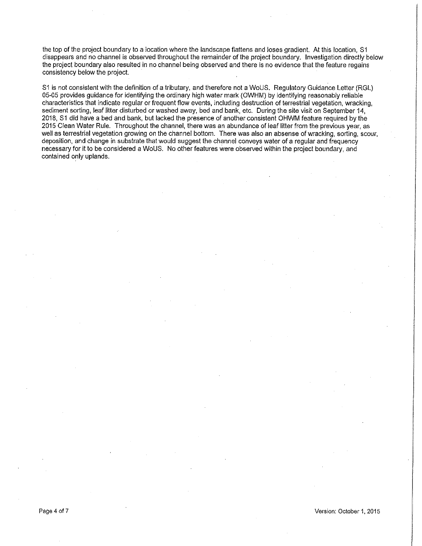the top of the project boundary to a location where the landscape flattens and loses gradient. At this location, S1 disappears and no channel is observed throughout the remainder of the project boundary. Investigation directly below the project boundary also resulted in no channel being observed and there is no evidence that the feature regains consistency below the project.

S1 is not consistent with the definition of a tributary, and therefore not a WoUS. Regulatory Guidance Letter (RGL) 05-05 provides guidance for identifying the ordinary high water mark (OWHM) by identifying reasonably reliable characteristics that indicate regular or frequent flow events, including destruction of terrestrial vegetation, wracking, sediment sorting, leaf litter disturbed or washed away, bed and bank, etc. During the site visit on September 14, 2018, S1 did have a bed and bank, but lacked the presence of another consistent OHWM feature required by the 2015 Clean Water Rule. Throughout the channel, there was an abundance of leaf litter from the previous year, as well as terrestrial vegetation growing on the channel bottom. There was also an absense of wracking, sorting, scour, deposition, and change in substrate that would suggest the channel conveys water of a regular and frequency necessary for it to be considered a WoUS. No other features were observed within the project boundary, and contained only uplands.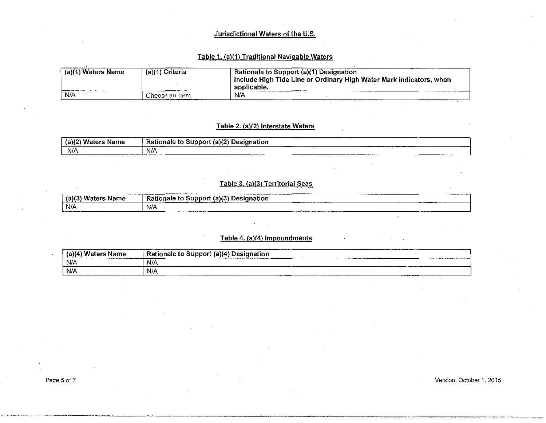### Jurisdictional Waters of the U.S.

### Table 1. (a)(1) Traditional Navigable Waters

| (a)(1) Waters Name | (a)(1) Criteria | Rationale to Support (a)(1) Designation<br>i Include High Tide Line or Ordinary High Water Mark indicators, when<br>applicable. |
|--------------------|-----------------|---------------------------------------------------------------------------------------------------------------------------------|
| N/A                | Choose an item. | N/A                                                                                                                             |

# Table 2. (a)(2) Interstate Waters

| (a)<br>$\mathcal{N}$ Wat-<br>Name<br>.<br>-------------------- | (2)<br>Ratic<br><b>Designation</b><br>. Sunnor<br>onale<br>. | ________________ | -----------    |
|----------------------------------------------------------------|--------------------------------------------------------------|------------------|----------------|
| N/A<br>--------------------                                    | N/A<br>---------------                                       |                  | -------------- |

# Table 3. (a)(3) Territorial Seas

| $(a)$ <sup>2</sup><br>- Ma<br>Name<br>. | -------------------<br>_____________<br>$c$ (a)(3)<br><b>Rationale to</b><br><b>Designation</b><br>support |
|-----------------------------------------|------------------------------------------------------------------------------------------------------------|
| N/A                                     | N/A                                                                                                        |

### Table 4. (a)(4) Impoundments

| <b>Name</b><br>stare<br>. . | www.communication.com/communications.com/communication<br>--------------------------------<br><br>Designation<br>(2)(4)<br><b>Rationale</b><br>-Sunnort -<br>---------- |
|-----------------------------|-------------------------------------------------------------------------------------------------------------------------------------------------------------------------|
| N/A                         | N/A<br>The company of the company of the company of the company of                                                                                                      |
| N/A                         | N/A<br>_______                                                                                                                                                          |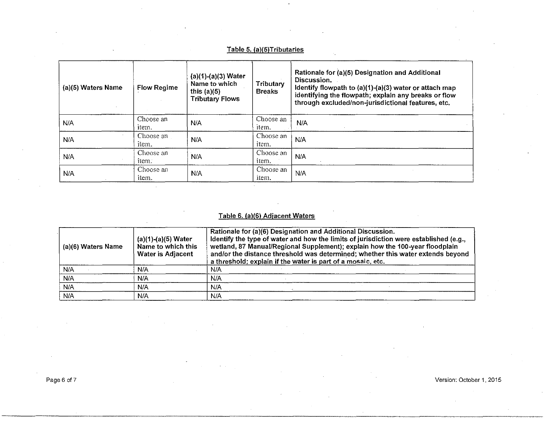# Table 5. (a)(S)Tributaries

 $\cdot$ 

| (a)(5) Waters Name | <b>Flow Regime</b> | $(a)(1)-(a)(3)$ Water<br>Name to which<br>this $(a)(5)$<br><b>Tributary Flows</b> | Tributary<br><b>Breaks</b> | Rationale for (a)(5) Designation and Additional<br>Discussion.<br>Identify flowpath to $(a)(1)-(a)(3)$ water or attach map<br>identifying the flowpath; explain any breaks or flow<br>through excluded/non-jurisdictional features, etc. |
|--------------------|--------------------|-----------------------------------------------------------------------------------|----------------------------|------------------------------------------------------------------------------------------------------------------------------------------------------------------------------------------------------------------------------------------|
| N/A                | Choose an<br>item. | N/A                                                                               | Choose an<br>item.         | N/A                                                                                                                                                                                                                                      |
| N/A                | Choose an<br>item. | N/A                                                                               | Choose an<br>item.         | N/A                                                                                                                                                                                                                                      |
| N/A                | Choose an<br>item. | N/A                                                                               | Choose an<br>item.         | N/A                                                                                                                                                                                                                                      |
| N/A                | Choose an<br>item. | N/A                                                                               | Choose an<br>item.         | N/A                                                                                                                                                                                                                                      |

# Table 6. (a)(6) Adjacent Waters

| (a)(6) Waters Name | $(a)(1)-(a)(5)$ Water<br>Name to which this<br><b>Water is Adjacent</b> | Rationale for (a)(6) Designation and Additional Discussion.<br>ldentify the type of water and how the limits of jurisdiction were established (e.g.,<br>wetland, 87 Manual/Regional Supplement); explain how the 100-year floodplain<br>and/or the distance threshold was determined; whether this water extends beyond<br>a threshold; explain if the water is part of a mosaic, etc. |
|--------------------|-------------------------------------------------------------------------|----------------------------------------------------------------------------------------------------------------------------------------------------------------------------------------------------------------------------------------------------------------------------------------------------------------------------------------------------------------------------------------|
| N/A                | N/A                                                                     | N/A                                                                                                                                                                                                                                                                                                                                                                                    |
| N/A                | N/A                                                                     | N/A                                                                                                                                                                                                                                                                                                                                                                                    |
| N/A                | N/A                                                                     | N/A                                                                                                                                                                                                                                                                                                                                                                                    |
| N/A                | N/A                                                                     | N/A                                                                                                                                                                                                                                                                                                                                                                                    |

Page 6 of 7 Version: October 1, 2015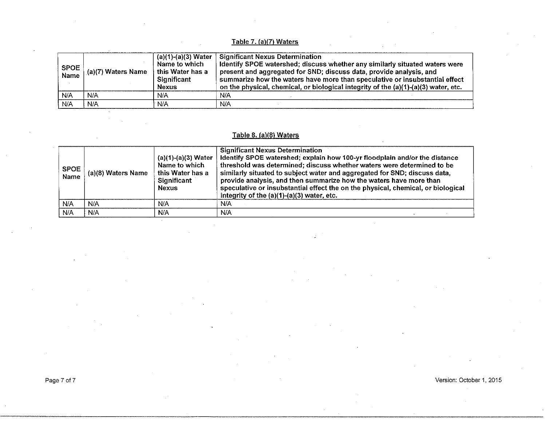# Table 7. (a)(7) Waters

| <b>SPOE</b><br><b>Name</b> | (a)(7) Waters Name | (a)(1)-(a)(3) Water<br>Name to which<br>this Water has a<br>Significant<br><b>Nexus</b> | <b>Significant Nexus Determination</b><br>Identify SPOE watershed; discuss whether any similarly situated waters were<br>present and aggregated for SND; discuss data, provide analysis, and<br>summarize how the waters have more than speculative or insubstantial effect<br>on the physical, chemical, or biological integrity of the (a)(1)-(a)(3) water, etc. |
|----------------------------|--------------------|-----------------------------------------------------------------------------------------|--------------------------------------------------------------------------------------------------------------------------------------------------------------------------------------------------------------------------------------------------------------------------------------------------------------------------------------------------------------------|
| N/A                        | N/A                | N/A                                                                                     | N/A                                                                                                                                                                                                                                                                                                                                                                |
| N/A                        | N/A                | N/A                                                                                     | N/A                                                                                                                                                                                                                                                                                                                                                                |

### Table 8. (a)(B) Waters

| SPOE<br>Name | (a)(8) Waters Name | $(a)(1)-(a)(3)$ Water<br>Name to which<br>this Water has a<br>Significant<br><b>Nexus</b> | <b>Significant Nexus Determination</b><br>Identify SPOE watershed; explain how 100-yr floodplain and/or the distance<br>threshold was determined; discuss whether waters were determined to be<br>similarly situated to subject water and aggregated for SND; discuss data,<br>provide analysis, and then summarize how the waters have more than<br>speculative or insubstantial effect the on the physical, chemical, or biological<br>integrity of the $(a)(1)-(a)(3)$ water, etc. |
|--------------|--------------------|-------------------------------------------------------------------------------------------|---------------------------------------------------------------------------------------------------------------------------------------------------------------------------------------------------------------------------------------------------------------------------------------------------------------------------------------------------------------------------------------------------------------------------------------------------------------------------------------|
| N/A          | N/A                | N/A                                                                                       | N/A                                                                                                                                                                                                                                                                                                                                                                                                                                                                                   |
| N/A          | N/A                | N/A                                                                                       | N/A                                                                                                                                                                                                                                                                                                                                                                                                                                                                                   |

Page 7 of 7 Version: October 1, 2015